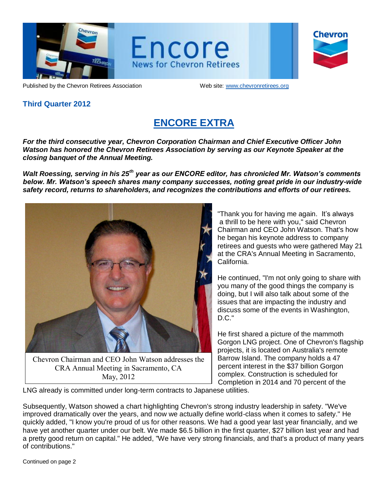

Encore **News for Chevron Retirees** 

| <b>Chevron</b> |  |
|----------------|--|
|                |  |

Published by the Chevron Retirees Association Web site: www.chevronretirees.org

### **Third Quarter 2012**

# **ENCORE EXTRA**

*For the third consecutive year, Chevron Corporation Chairman and Chief Executive Officer John Watson has honored the Chevron Retirees Association by serving as our Keynote Speaker at the closing banquet of the Annual Meeting.* 

*Walt Roessing, serving in his 25th year as our ENCORE editor, has chronicled Mr. Watson's comments below. Mr. Watson's speech shares many company successes, noting great pride in our industry-wide safety record, returns to shareholders, and recognizes the contributions and efforts of our retirees.*



Chevron Chairman and CEO John Watson addresses the CRA Annual Meeting in Sacramento, CA May, 2012

"Thank you for having me again. It's always a thrill to be here with you," said Chevron Chairman and CEO John Watson. That's how he began his keynote address to company retirees and guests who were gathered May 21 at the CRA's Annual Meeting in Sacramento, California.

He continued, "I'm not only going to share with you many of the good things the company is doing, but I will also talk about some of the issues that are impacting the industry and discuss some of the events in Washington, D.C."

He first shared a picture of the mammoth Gorgon LNG project. One of Chevron's flagship projects, it is located on Australia's remote Barrow Island. The company holds a 47 percent interest in the \$37 billion Gorgon complex. Construction is scheduled for Completion in 2014 and 70 percent of the

LNG already is committed under long-term contracts to Japanese utilities.

Subsequently, Watson showed a chart highlighting Chevron's strong industry leadership in safety. "We've improved dramatically over the years, and now we actually define world-class when it comes to safety." He quickly added, "I know you're proud of us for other reasons. We had a good year last year financially, and we have yet another quarter under our belt. We made \$6.5 billion in the first quarter, \$27 billion last year and had a pretty good return on capital." He added, "We have very strong financials, and that's a product of many years of contributions."

Continued on page 2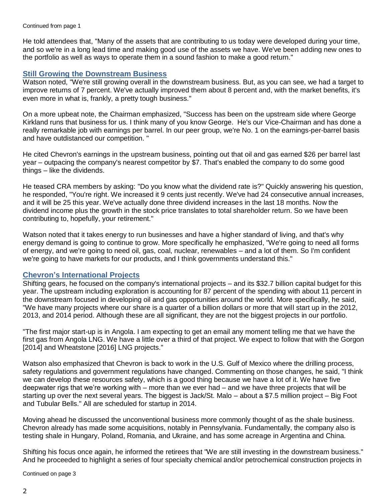He told attendees that, "Many of the assets that are contributing to us today were developed during your time, and so we're in a long lead time and making good use of the assets we have. We've been adding new ones to the portfolio as well as ways to operate them in a sound fashion to make a good return."

#### **Still Growing the Downstream Business**

Watson noted, "We're still growing overall in the downstream business. But, as you can see, we had a target to improve returns of 7 percent. We've actually improved them about 8 percent and, with the market benefits, it's even more in what is, frankly, a pretty tough business."

On a more upbeat note, the Chairman emphasized, "Success has been on the upstream side where George Kirkland runs that business for us. I think many of you know George. He's our Vice-Chairman and has done a really remarkable job with earnings per barrel. In our peer group, we're No. 1 on the earnings-per-barrel basis and have outdistanced our competition. "

He cited Chevron's earnings in the upstream business, pointing out that oil and gas earned \$26 per barrel last year – outpacing the company's nearest competitor by \$7. That's enabled the company to do some good things – like the dividends.

He teased CRA members by asking: "Do you know what the dividend rate is?" Quickly answering his question, he responded, "You're right. We increased it 9 cents just recently. We've had 24 consecutive annual increases, and it will be 25 this year. We've actually done three dividend increases in the last 18 months. Now the dividend income plus the growth in the stock price translates to total shareholder return. So we have been contributing to, hopefully, your retirement."

Watson noted that it takes energy to run businesses and have a higher standard of living, and that's why energy demand is going to continue to grow. More specifically he emphasized, "We're going to need all forms of energy, and we're going to need oil, gas, coal, nuclear, renewables – and a lot of them. So I'm confident we're going to have markets for our products, and I think governments understand this."

#### **Chevron's International Projects**

Shifting gears, he focused on the company's international projects – and its \$32.7 billion capital budget for this year. The upstream including exploration is accounting for 87 percent of the spending with about 11 percent in the downstream focused in developing oil and gas opportunities around the world. More specifically, he said, "We have many projects where our share is a quarter of a billion dollars or more that will start up in the 2012, 2013, and 2014 period. Although these are all significant, they are not the biggest projects in our portfolio.

"The first major start-up is in Angola. I am expecting to get an email any moment telling me that we have the first gas from Angola LNG. We have a little over a third of that project. We expect to follow that with the Gorgon [2014] and Wheatstone [2016] LNG projects."

Watson also emphasized that Chevron is back to work in the U.S. Gulf of Mexico where the drilling process, safety regulations and government regulations have changed. Commenting on those changes, he said, "I think we can develop these resources safety, which is a good thing because we have a lot of it. We have five deepwater rigs that we're working with – more than we ever had – and we have three projects that will be starting up over the next several years. The biggest is Jack/St. Malo – about a \$7.5 million project – Big Foot and Tubular Bells." All are scheduled for startup in 2014.

Moving ahead he discussed the unconventional business more commonly thought of as the shale business. Chevron already has made some acquisitions, notably in Pennsylvania. Fundamentally, the company also is testing shale in Hungary, Poland, Romania, and Ukraine, and has some acreage in Argentina and China.

Shifting his focus once again, he informed the retirees that "We are still investing in the downstream business." And he proceeded to highlight a series of four specialty chemical and/or petrochemical construction projects in

Continued on page 3